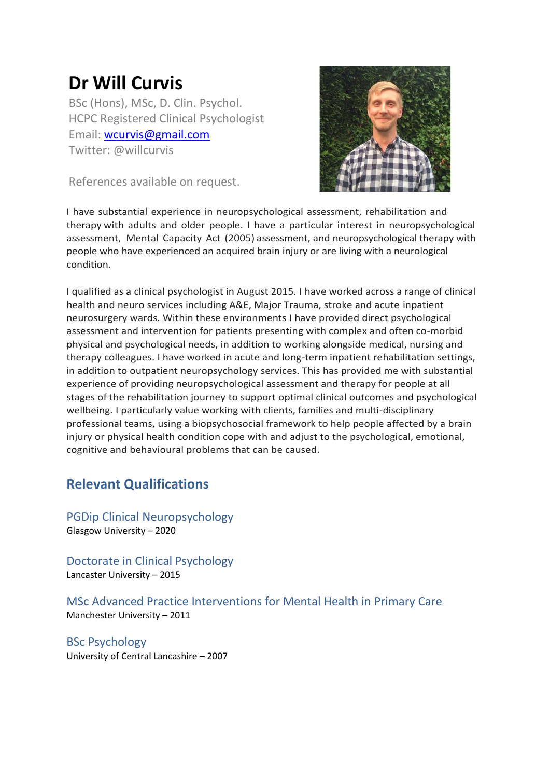# **Dr Will Curvis**

BSc (Hons), MSc, D. Clin. Psychol. HCPC Registered Clinical Psychologist Email: [wcurvis@gmail.com](mailto:wcurvis@gmail.com) Twitter: @willcurvis

References available on request.



I have substantial experience in neuropsychological assessment, rehabilitation and therapy with adults and older people. I have a particular interest in neuropsychological assessment, Mental Capacity Act (2005) assessment, and neuropsychological therapy with people who have experienced an acquired brain injury or are living with a neurological condition.

I qualified as a clinical psychologist in August 2015. I have worked across a range of clinical health and neuro services including A&E, Major Trauma, stroke and acute inpatient neurosurgery wards. Within these environments I have provided direct psychological assessment and intervention for patients presenting with complex and often co-morbid physical and psychological needs, in addition to working alongside medical, nursing and therapy colleagues. I have worked in acute and long-term inpatient rehabilitation settings, in addition to outpatient neuropsychology services. This has provided me with substantial experience of providing neuropsychological assessment and therapy for people at all stages of the rehabilitation journey to support optimal clinical outcomes and psychological wellbeing. I particularly value working with clients, families and multi-disciplinary professional teams, using a biopsychosocial framework to help people affected by a brain injury or physical health condition cope with and adjust to the psychological, emotional, cognitive and behavioural problems that can be caused.

# **Relevant Qualifications**

PGDip Clinical Neuropsychology Glasgow University – 2020

Doctorate in Clinical Psychology Lancaster University – 2015

MSc Advanced Practice Interventions for Mental Health in Primary Care Manchester University – 2011

BSc Psychology University of Central Lancashire – 2007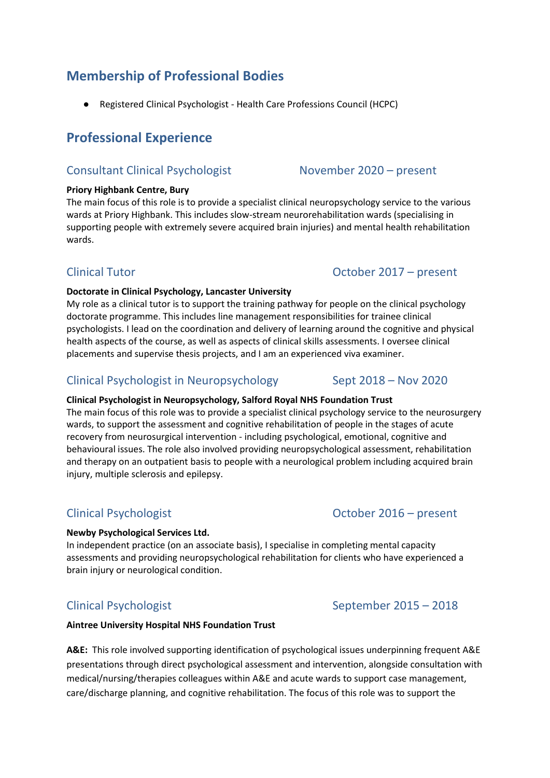# **Membership of Professional Bodies**

Registered Clinical Psychologist - Health Care Professions Council (HCPC)

# **Professional Experience**

# Consultant Clinical Psychologist November 2020 – present

#### **Priory Highbank Centre, Bury**

The main focus of this role is to provide a specialist clinical neuropsychology service to the various wards at Priory Highbank. This includes slow-stream neurorehabilitation wards (specialising in supporting people with extremely severe acquired brain injuries) and mental health rehabilitation wards.

#### **Doctorate in Clinical Psychology, Lancaster University**

My role as a clinical tutor is to support the training pathway for people on the clinical psychology doctorate programme. This includes line management responsibilities for trainee clinical psychologists. I lead on the coordination and delivery of learning around the cognitive and physical health aspects of the course, as well as aspects of clinical skills assessments. I oversee clinical placements and supervise thesis projects, and I am an experienced viva examiner.

# Clinical Psychologist in Neuropsychology Sept 2018 – Nov 2020

#### **Clinical Psychologist in Neuropsychology, Salford Royal NHS Foundation Trust**

The main focus of this role was to provide a specialist clinical psychology service to the neurosurgery wards, to support the assessment and cognitive rehabilitation of people in the stages of acute recovery from neurosurgical intervention - including psychological, emotional, cognitive and behavioural issues. The role also involved providing neuropsychological assessment, rehabilitation and therapy on an outpatient basis to people with a neurological problem including acquired brain injury, multiple sclerosis and epilepsy.

#### **Newby Psychological Services Ltd.**

In independent practice (on an associate basis), I specialise in completing mental capacity assessments and providing neuropsychological rehabilitation for clients who have experienced a brain injury or neurological condition.

# Clinical Psychologist September 2015 – 2018

#### **Aintree University Hospital NHS Foundation Trust**

**A&E:** This role involved supporting identification of psychological issues underpinning frequent A&E presentations through direct psychological assessment and intervention, alongside consultation with medical/nursing/therapies colleagues within A&E and acute wards to support case management, care/discharge planning, and cognitive rehabilitation. The focus of this role was to support the

### Clinical Psychologist October 2016 – present

# Clinical Tutor Clinical Tutor Clinical Tutor Clinical Tutor Clinical Tutor Clinical Tutor Clinical Tutor Clinical Tutor Clinical Tutor Clinical Tutor Clinical Tutor Clinical Tutor Clinical Tutor Clinical Tutor Clinical Tut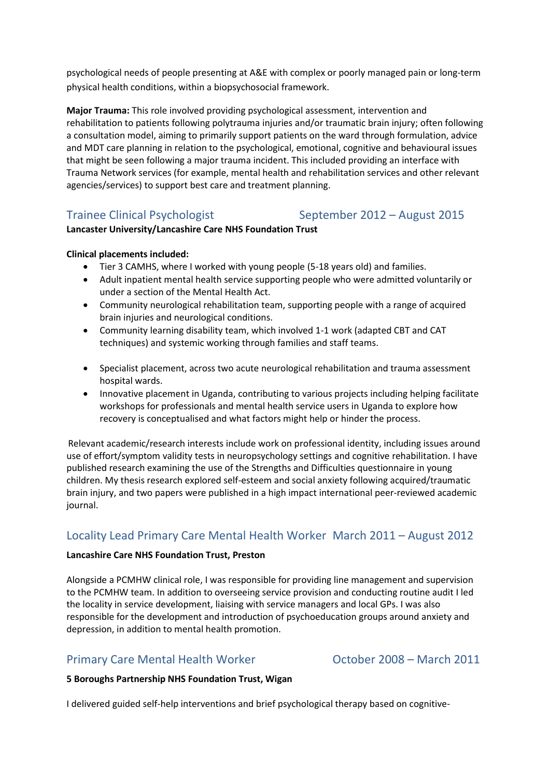psychological needs of people presenting at A&E with complex or poorly managed pain or long-term physical health conditions, within a biopsychosocial framework.

**Major Trauma:** This role involved providing psychological assessment, intervention and rehabilitation to patients following polytrauma injuries and/or traumatic brain injury; often following a consultation model, aiming to primarily support patients on the ward through formulation, advice and MDT care planning in relation to the psychological, emotional, cognitive and behavioural issues that might be seen following a major trauma incident. This included providing an interface with Trauma Network services (for example, mental health and rehabilitation services and other relevant agencies/services) to support best care and treatment planning.

### Trainee Clinical Psychologist September 2012 – August 2015

#### **Lancaster University/Lancashire Care NHS Foundation Trust**

#### **Clinical placements included:**

- Tier 3 CAMHS, where I worked with young people (5-18 years old) and families.
- Adult inpatient mental health service supporting people who were admitted voluntarily or under a section of the Mental Health Act.
- Community neurological rehabilitation team, supporting people with a range of acquired brain injuries and neurological conditions.
- Community learning disability team, which involved 1-1 work (adapted CBT and CAT techniques) and systemic working through families and staff teams.
- Specialist placement, across two acute neurological rehabilitation and trauma assessment hospital wards.
- Innovative placement in Uganda, contributing to various projects including helping facilitate workshops for professionals and mental health service users in Uganda to explore how recovery is conceptualised and what factors might help or hinder the process.

Relevant academic/research interests include work on professional identity, including issues around use of effort/symptom validity tests in neuropsychology settings and cognitive rehabilitation. I have published research examining the use of the Strengths and Difficulties questionnaire in young children. My thesis research explored self-esteem and social anxiety following acquired/traumatic brain injury, and two papers were published in a high impact international peer-reviewed academic journal.

### Locality Lead Primary Care Mental Health Worker March 2011 – August 2012

#### **Lancashire Care NHS Foundation Trust, Preston**

Alongside a PCMHW clinical role, I was responsible for providing line management and supervision to the PCMHW team. In addition to overseeing service provision and conducting routine audit I led the locality in service development, liaising with service managers and local GPs. I was also responsible for the development and introduction of psychoeducation groups around anxiety and depression, in addition to mental health promotion.

### Primary Care Mental Health Worker **Careford Corporation Corporation** October 2008 – March 2011

#### **5 Boroughs Partnership NHS Foundation Trust, Wigan**

I delivered guided self-help interventions and brief psychological therapy based on cognitive-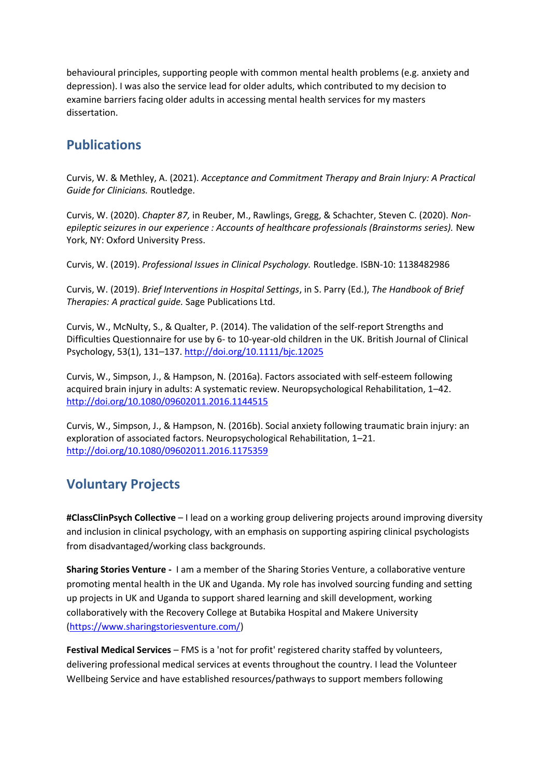behavioural principles, supporting people with common mental health problems (e.g. anxiety and depression). I was also the service lead for older adults, which contributed to my decision to examine barriers facing older adults in accessing mental health services for my masters dissertation.

# **Publications**

Curvis, W. & Methley, A. (2021). *Acceptance and Commitment Therapy and Brain Injury: A Practical Guide for Clinicians.* Routledge.

Curvis, W. (2020). *Chapter 87,* in Reuber, M., Rawlings, Gregg, & Schachter, Steven C. (2020). *Nonepileptic seizures in our experience : Accounts of healthcare professionals (Brainstorms series).* New York, NY: Oxford University Press.

Curvis, W. (2019). *Professional Issues in Clinical Psychology.* Routledge. ISBN-10: 1138482986

Curvis, W. (2019). *Brief Interventions in Hospital Settings*, in S. Parry (Ed.), *The Handbook of Brief Therapies: A practical guide.* Sage Publications Ltd.

Curvis, W., McNulty, S., & Qualter, P. (2014). The validation of the self-report Strengths and Difficulties Questionnaire for use by 6- to 10-year-old children in the UK. British Journal of Clinical Psychology, 53(1), 131–137[. http://doi.org/10.1111/bjc.12025](http://doi.org/10.1111/bjc.12025)

Curvis, W., Simpson, J., & Hampson, N. (2016a). Factors associated with self-esteem following acquired brain injury in adults: A systematic review. Neuropsychological Rehabilitation, 1–42. <http://doi.org/10.1080/09602011.2016.1144515>

Curvis, W., Simpson, J., & Hampson, N. (2016b). Social anxiety following traumatic brain injury: an exploration of associated factors. Neuropsychological Rehabilitation, 1–21. <http://doi.org/10.1080/09602011.2016.1175359>

# **Voluntary Projects**

**#ClassClinPsych Collective** – I lead on a working group delivering projects around improving diversity and inclusion in clinical psychology, with an emphasis on supporting aspiring clinical psychologists from disadvantaged/working class backgrounds.

**Sharing Stories Venture -** I am a member of the Sharing Stories Venture, a collaborative venture promoting mental health in the UK and Uganda. My role has involved sourcing funding and setting up projects in UK and Uganda to support shared learning and skill development, working collaboratively with the Recovery College at Butabika Hospital and Makere University [\(https://www.sharingstoriesventure.com/\)](https://www.sharingstoriesventure.com/)

**Festival Medical Services** – FMS is a 'not for profit' registered charity staffed by volunteers, delivering professional medical services at events throughout the country. I lead the Volunteer Wellbeing Service and have established resources/pathways to support members following